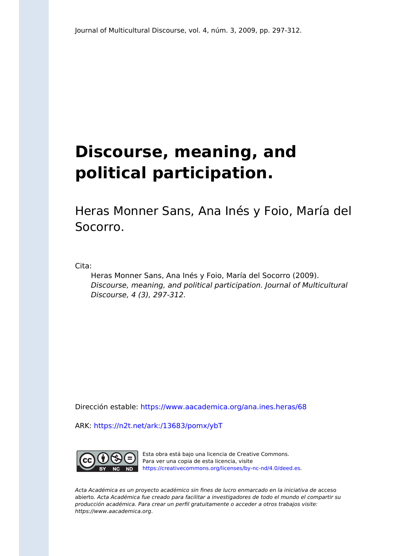# **Discourse, meaning, and political participation.**

Heras Monner Sans, Ana Inés y Foio, María del Socorro.

Cita:

Heras Monner Sans, Ana Inés y Foio, María del Socorro (2009). Discourse, meaning, and political participation. Journal of Multicultural Discourse, 4 (3), 297-312.

Dirección estable:<https://www.aacademica.org/ana.ines.heras/68>

ARK: <https://n2t.net/ark:/13683/pomx/ybT>



Esta obra está bajo una licencia de Creative Commons. Para ver una copia de esta licencia, visite [https://creativecommons.org/licenses/by-nc-nd/4.0/deed.es.](https://creativecommons.org/licenses/by-nc-nd/4.0/deed.es)

Acta Académica es un proyecto académico sin fines de lucro enmarcado en la iniciativa de acceso abierto. Acta Académica fue creado para facilitar a investigadores de todo el mundo el compartir su producción académica. Para crear un perfil gratuitamente o acceder a otros trabajos visite: https://www.aacademica.org.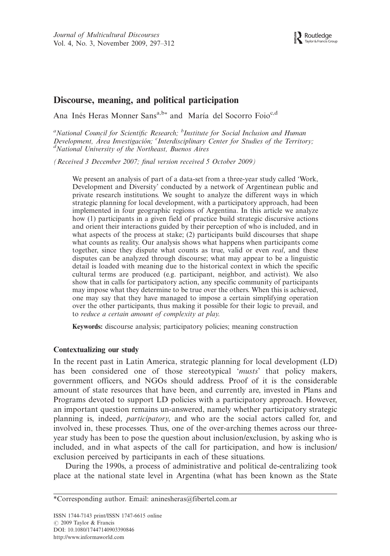# Discourse, meaning, and political participation

Ana Inés Heras Monner Sans<sup>a,b\*</sup> and María del Socorro Foio<sup>c,d</sup>

<sup>a</sup>National Council for Scientific Research; <sup>b</sup>Institute for Social Inclusion and Human Development, Área Investigación; <sup>c</sup>Interdisciplinary Center for Studies of the Territory;<br><sup>d</sup>National University of the Newtheast, Puence Aires National University of the Northeast, Buenos Aires

(Received 3 December 2007; final version received 5 October 2009)

We present an analysis of part of a data-set from a three-year study called 'Work, Development and Diversity' conducted by a network of Argentinean public and private research institutions. We sought to analyze the different ways in which strategic planning for local development, with a participatory approach, had been implemented in four geographic regions of Argentina. In this article we analyze how (1) participants in a given field of practice build strategic discursive actions and orient their interactions guided by their perception of who is included, and in what aspects of the process at stake; (2) participants build discourses that shape what counts as reality. Our analysis shows what happens when participants come together, since they dispute what counts as true, valid or even real, and these disputes can be analyzed through discourse; what may appear to be a linguistic detail is loaded with meaning due to the historical context in which the specific cultural terms are produced (e.g. participant, neighbor, and activist). We also show that in calls for participatory action, any specific community of participants may impose what they determine to be true over the others. When this is achieved, one may say that they have managed to impose a certain simplifying operation over the other participants, thus making it possible for their logic to prevail, and to reduce a certain amount of complexity at play.

Keywords: discourse analysis; participatory policies; meaning construction

## Contextualizing our study

In the recent past in Latin America, strategic planning for local development (LD) has been considered one of those stereotypical '*musts*' that policy makers, government officers, and NGOs should address. Proof of it is the considerable amount of state resources that have been, and currently are, invested in Plans and Programs devoted to support LD policies with a participatory approach. However, an important question remains un-answered, namely whether participatory strategic planning is, indeed, participatory, and who are the social actors called for, and involved in, these processes. Thus, one of the over-arching themes across our threeyear study has been to pose the question about inclusion/exclusion, by asking who is included, and in what aspects of the call for participation, and how is inclusion/ exclusion perceived by participants in each of these situations.

During the 1990s, a process of administrative and political de-centralizing took place at the national state level in Argentina (what has been known as the State

<sup>\*</sup>Corresponding author. Email: aninesheras@fibertel.com.ar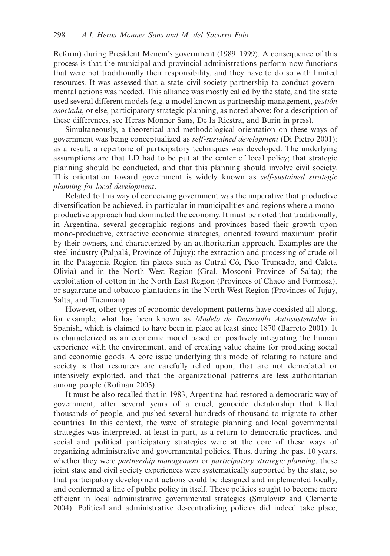Reform) during President Menem's government (1989–1999). A consequence of this process is that the municipal and provincial administrations perform now functions that were not traditionally their responsibility, and they have to do so with limited resources. It was assessed that a state-civil society partnership to conduct governmental actions was needed. This alliance was mostly called by the state, and the state used several different models (e.g. a model known as partnership management, *gestión* asociada, or else, participatory strategic planning, as noted above; for a description of these differences, see Heras Monner Sans, De la Riestra, and Burin in press).

Simultaneously, a theoretical and methodological orientation on these ways of government was being conceptualized as self-sustained development (Di Pietro 2001); as a result, a repertoire of participatory techniques was developed. The underlying assumptions are that LD had to be put at the center of local policy; that strategic planning should be conducted, and that this planning should involve civil society. This orientation toward government is widely known as self-sustained strategic planning for local development.

Related to this way of conceiving government was the imperative that productive diversification be achieved, in particular in municipalities and regions where a monoproductive approach had dominated the economy. It must be noted that traditionally, in Argentina, several geographic regions and provinces based their growth upon mono-productive, extractive economic strategies, oriented toward maximum profit by their owners, and characterized by an authoritarian approach. Examples are the steel industry (Palpalá, Province of Jujuy); the extraction and processing of crude oil in the Patagonia Region (in places such as Cutral Có, Pico Truncado, and Caleta Olivia) and in the North West Region (Gral. Mosconi Province of Salta); the exploitation of cotton in the North East Region (Provinces of Chaco and Formosa), or sugarcane and tobacco plantations in the North West Region (Provinces of Jujuy, Salta, and Tucumán).

However, other types of economic development patterns have coexisted all along, for example, what has been known as Modelo de Desarrollo Autosustentable in Spanish, which is claimed to have been in place at least since 1870 (Barreto 2001). It is characterized as an economic model based on positively integrating the human experience with the environment, and of creating value chains for producing social and economic goods. A core issue underlying this mode of relating to nature and society is that resources are carefully relied upon, that are not depredated or intensively exploited, and that the organizational patterns are less authoritarian among people (Rofman 2003).

It must be also recalled that in 1983, Argentina had restored a democratic way of government, after several years of a cruel, genocide dictatorship that killed thousands of people, and pushed several hundreds of thousand to migrate to other countries. In this context, the wave of strategic planning and local governmental strategies was interpreted, at least in part, as a return to democratic practices, and social and political participatory strategies were at the core of these ways of organizing administrative and governmental policies. Thus, during the past 10 years, whether they were partnership management or participatory strategic planning, these joint state and civil society experiences were systematically supported by the state, so that participatory development actions could be designed and implemented locally, and conformed a line of public policy in itself. These policies sought to become more efficient in local administrative governmental strategies (Smulovitz and Clemente 2004). Political and administrative de-centralizing policies did indeed take place,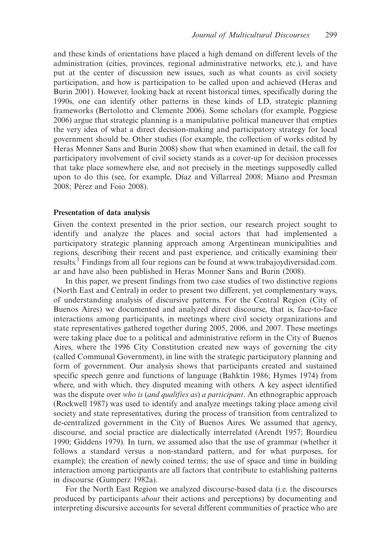and these kinds of orientations have placed a high demand on different levels of the administration (cities, provinces, regional administrative networks, etc.), and have put at the center of discussion new issues, such as what counts as civil society participation, and how is participation to be called upon and achieved (Heras and Burin 2001). However, looking back at recent historical times, specifically during the 1990s, one can identify other patterns in these kinds of LD, strategic planning frameworks (Bertolotto and Clemente 2006). Some scholars (for example, Poggiese 2006) argue that strategic planning is a manipulative political maneuver that empties the very idea of what a direct decision-making and participatory strategy for local government should be. Other studies (for example, the collection of works edited by Heras Monner Sans and Burin 2008) show that when examined in detail, the call for participatory involvement of civil society stands as a cover-up for decision processes that take place somewhere else, and not precisely in the meetings supposedly called upon to do this (see, for example, D´ıaz and Villarreal 2008; Miano and Presman 2008; Pérez and Foio 2008).

#### Presentation of data analysis

Given the context presented in the prior section, our research project sought to identify and analyze the places and social actors that had implemented a participatory strategic planning approach among Argentinean municipalities and regions, describing their recent and past experience, and critically examining their results.<sup>1</sup> Findings from all four regions can be found at [www.trabajoydiversidad.com.](www.trabajoydiversidad.com.ar) [ar](www.trabajoydiversidad.com.ar) and have also been published in Heras Monner Sans and Burin (2008).

In this paper, we present findings from two case studies of two distinctive regions (North East and Central) in order to present two different, yet complementary ways, of understanding analysis of discursive patterns. For the Central Region (City of Buenos Aires) we documented and analyzed direct discourse, that is, face-to-face interactions among participants, in meetings where civil society organizations and state representatives gathered together during 2005, 2006, and 2007. These meetings were taking place due to a political and administrative reform in the City of Buenos Aires, where the 1996 City Constitution created new ways of governing the city (called Communal Government), in line with the strategic participatory planning and form of government. Our analysis shows that participants created and sustained specific speech genre and functions of language (Bahktin 1986; Hymes 1974) from where, and with which, they disputed meaning with others. A key aspect identified was the dispute over who is (and qualifies as) a participant. An ethnographic approach (Rockwell 1987) was used to identify and analyze meetings taking place among civil society and state representatives, during the process of transition from centralized to de-centralized government in the City of Buenos Aires. We assumed that agency, discourse, and social practice are dialectically interrelated (Arendt 1957; Bourdieu 1990; Giddens 1979). In turn, we assumed also that the use of grammar (whether it follows a standard versus a non-standard pattern, and for what purposes, for example); the creation of newly coined terms; the use of space and time in building interaction among participants are all factors that contribute to establishing patterns in discourse (Gumperz 1982a).

For the North East Region we analyzed discourse-based data (i.e. the discourses produced by participants about their actions and perceptions) by documenting and interpreting discursive accounts for several different communities of practice who are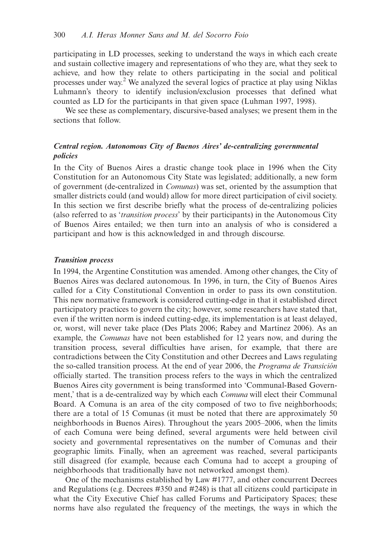participating in LD processes, seeking to understand the ways in which each create and sustain collective imagery and representations of who they are, what they seek to achieve, and how they relate to others participating in the social and political processes under way.<sup>2</sup> We analyzed the several logics of practice at play using Niklas Luhmann's theory to identify inclusion/exclusion processes that defined what counted as LD for the participants in that given space (Luhman 1997, 1998).

We see these as complementary, discursive-based analyses; we present them in the sections that follow.

# Central region. Autonomous City of Buenos Aires' de-centralizing governmental policies

In the City of Buenos Aires a drastic change took place in 1996 when the City Constitution for an Autonomous City State was legislated; additionally, a new form of government (de-centralized in Comunas) was set, oriented by the assumption that smaller districts could (and would) allow for more direct participation of civil society. In this section we first describe briefly what the process of de-centralizing policies (also referred to as 'transition process' by their participants) in the Autonomous City of Buenos Aires entailed; we then turn into an analysis of who is considered a participant and how is this acknowledged in and through discourse.

## Transition process

In 1994, the Argentine Constitution was amended. Among other changes, the City of Buenos Aires was declared autonomous. In 1996, in turn, the City of Buenos Aires called for a City Constitutional Convention in order to pass its own constitution. This new normative framework is considered cutting-edge in that it established direct participatory practices to govern the city; however, some researchers have stated that, even if the written norm is indeed cutting-edge, its implementation is at least delayed, or, worst, will never take place (Des Plats 2006; Rabey and Martínez 2006). As an example, the *Comunas* have not been established for 12 years now, and during the transition process, several difficulties have arisen, for example, that there are contradictions between the City Constitution and other Decrees and Laws regulating the so-called transition process. At the end of year 2006, the *Programa de Transición* officially started. The transition process refers to the ways in which the centralized Buenos Aires city government is being transformed into 'Communal-Based Government,' that is a de-centralized way by which each *Comuna* will elect their Communal Board. A Comuna is an area of the city composed of two to five neighborhoods; there are a total of 15 Comunas (it must be noted that there are approximately 50 neighborhoods in Buenos Aires). Throughout the years 2005–2006, when the limits of each Comuna were being defined, several arguments were held between civil society and governmental representatives on the number of Comunas and their geographic limits. Finally, when an agreement was reached, several participants still disagreed (for example, because each Comuna had to accept a grouping of neighborhoods that traditionally have not networked amongst them).

One of the mechanisms established by Law #1777, and other concurrent Decrees and Regulations (e.g. Decrees #350 and #248) is that all citizens could participate in what the City Executive Chief has called Forums and Participatory Spaces; these norms have also regulated the frequency of the meetings, the ways in which the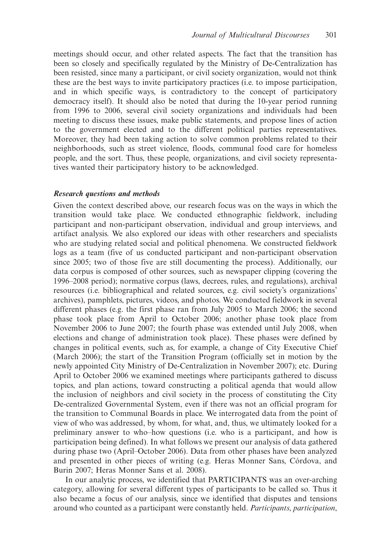meetings should occur, and other related aspects. The fact that the transition has been so closely and specifically regulated by the Ministry of De-Centralization has been resisted, since many a participant, or civil society organization, would not think these are the best ways to invite participatory practices (i.e. to impose participation, and in which specific ways, is contradictory to the concept of participatory democracy itself). It should also be noted that during the 10-year period running from 1996 to 2006, several civil society organizations and individuals had been meeting to discuss these issues, make public statements, and propose lines of action to the government elected and to the different political parties representatives. Moreover, they had been taking action to solve common problems related to their neighborhoods, such as street violence, floods, communal food care for homeless people, and the sort. Thus, these people, organizations, and civil society representatives wanted their participatory history to be acknowledged.

## Research questions and methods

Given the context described above, our research focus was on the ways in which the transition would take place. We conducted ethnographic fieldwork, including participant and non-participant observation, individual and group interviews, and artifact analysis. We also explored our ideas with other researchers and specialists who are studying related social and political phenomena. We constructed fieldwork logs as a team (five of us conducted participant and non-participant observation since 2005; two of those five are still documenting the process). Additionally, our data corpus is composed of other sources, such as newspaper clipping (covering the 19962008 period); normative corpus (laws, decrees, rules, and regulations), archival resources (i.e. bibliographical and related sources, e.g. civil society's organizations' archives), pamphlets, pictures, videos, and photos. We conducted fieldwork in several different phases (e.g. the first phase ran from July 2005 to March 2006; the second phase took place from April to October 2006; another phase took place from November 2006 to June 2007; the fourth phase was extended until July 2008, when elections and change of administration took place). These phases were defined by changes in political events, such as, for example, a change of City Executive Chief (March 2006); the start of the Transition Program (officially set in motion by the newly appointed City Ministry of De-Centralization in November 2007); etc. During April to October 2006 we examined meetings where participants gathered to discuss topics, and plan actions, toward constructing a political agenda that would allow the inclusion of neighbors and civil society in the process of constituting the City De-centralized Governmental System, even if there was not an official program for the transition to Communal Boards in place. We interrogated data from the point of view of who was addressed, by whom, for what, and, thus, we ultimately looked for a preliminary answer to who-how questions (i.e. who is a participant, and how is participation being defined). In what follows we present our analysis of data gathered during phase two (April–October 2006). Data from other phases have been analyzed and presented in other pieces of writing (e.g. Heras Monner Sans, Córdova, and Burin 2007; Heras Monner Sans et al. 2008).

In our analytic process, we identified that PARTICIPANTS was an over-arching category, allowing for several different types of participants to be called so. Thus it also became a focus of our analysis, since we identified that disputes and tensions around who counted as a participant were constantly held. Participants, participation,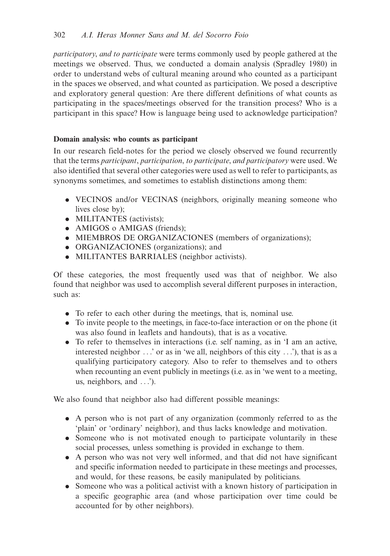participatory, and to participate were terms commonly used by people gathered at the meetings we observed. Thus, we conducted a domain analysis (Spradley 1980) in order to understand webs of cultural meaning around who counted as a participant in the spaces we observed, and what counted as participation. We posed a descriptive and exploratory general question: Are there different definitions of what counts as participating in the spaces/meetings observed for the transition process? Who is a participant in this space? How is language being used to acknowledge participation?

# Domain analysis: who counts as participant

In our research field-notes for the period we closely observed we found recurrently that the terms participant, participation, to participate, and participatory were used. We also identified that several other categories were used as well to refer to participants, as synonyms sometimes, and sometimes to establish distinctions among them:

- . VECINOS and/or VECINAS (neighbors, originally meaning someone who lives close by);
- MILITANTES (activists):
- AMIGOS o AMIGAS (friends);
- . MIEMBROS DE ORGANIZACIONES (members of organizations);
- . ORGANIZACIONES (organizations); and
- . MILITANTES BARRIALES (neighbor activists).

Of these categories, the most frequently used was that of neighbor. We also found that neighbor was used to accomplish several different purposes in interaction, such as:

- . To refer to each other during the meetings, that is, nominal use.
- . To invite people to the meetings, in face-to-face interaction or on the phone (it was also found in leaflets and handouts), that is as a vocative.
- . To refer to themselves in interactions (i.e. self naming, as in 'I am an active, interested neighbor ...' or as in 'we all, neighbors of this city ...'), that is as a qualifying participatory category. Also to refer to themselves and to others when recounting an event publicly in meetings (i.e. as in 'we went to a meeting, us, neighbors, and ...').

We also found that neighbor also had different possible meanings:

- . A person who is not part of any organization (commonly referred to as the 'plain' or 'ordinary' neighbor), and thus lacks knowledge and motivation.
- . Someone who is not motivated enough to participate voluntarily in these social processes, unless something is provided in exchange to them.
- . A person who was not very well informed, and that did not have significant and specific information needed to participate in these meetings and processes, and would, for these reasons, be easily manipulated by politicians.
- . Someone who was a political activist with a known history of participation in a specific geographic area (and whose participation over time could be accounted for by other neighbors).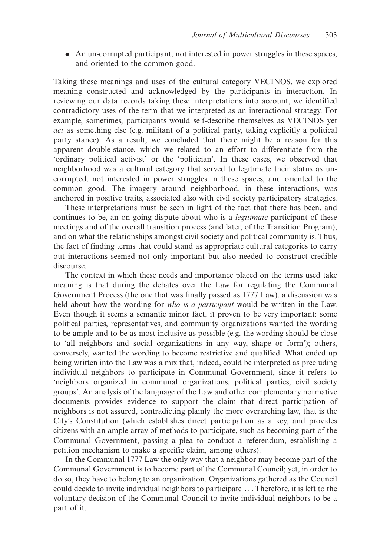. An un-corrupted participant, not interested in power struggles in these spaces, and oriented to the common good.

Taking these meanings and uses of the cultural category VECINOS, we explored meaning constructed and acknowledged by the participants in interaction. In reviewing our data records taking these interpretations into account, we identified contradictory uses of the term that we interpreted as an interactional strategy. For example, sometimes, participants would self-describe themselves as VECINOS yet act as something else (e.g. militant of a political party, taking explicitly a political party stance). As a result, we concluded that there might be a reason for this apparent double-stance, which we related to an effort to differentiate from the 'ordinary political activist' or the 'politician'. In these cases, we observed that neighborhood was a cultural category that served to legitimate their status as uncorrupted, not interested in power struggles in these spaces, and oriented to the common good. The imagery around neighborhood, in these interactions, was anchored in positive traits, associated also with civil society participatory strategies.

These interpretations must be seen in light of the fact that there has been, and continues to be, an on going dispute about who is a legitimate participant of these meetings and of the overall transition process (and later, of the Transition Program), and on what the relationships amongst civil society and political community is. Thus, the fact of finding terms that could stand as appropriate cultural categories to carry out interactions seemed not only important but also needed to construct credible discourse.

The context in which these needs and importance placed on the terms used take meaning is that during the debates over the Law for regulating the Communal Government Process (the one that was finally passed as 1777 Law), a discussion was held about how the wording for *who is a participant* would be written in the Law. Even though it seems a semantic minor fact, it proven to be very important: some political parties, representatives, and community organizations wanted the wording to be ample and to be as most inclusive as possible (e.g. the wording should be close to 'all neighbors and social organizations in any way, shape or form'); others, conversely, wanted the wording to become restrictive and qualified. What ended up being written into the Law was a mix that, indeed, could be interpreted as precluding individual neighbors to participate in Communal Government, since it refers to 'neighbors organized in communal organizations, political parties, civil society groups'. An analysis of the language of the Law and other complementary normative documents provides evidence to support the claim that direct participation of neighbors is not assured, contradicting plainly the more overarching law, that is the City's Constitution (which establishes direct participation as a key, and provides citizens with an ample array of methods to participate, such as becoming part of the Communal Government, passing a plea to conduct a referendum, establishing a petition mechanism to make a specific claim, among others).

In the Communal 1777 Law the only way that a neighbor may become part of the Communal Government is to become part of the Communal Council; yet, in order to do so, they have to belong to an organization. Organizations gathered as the Council could decide to invite individual neighbors to participate ... Therefore, it is left to the voluntary decision of the Communal Council to invite individual neighbors to be a part of it.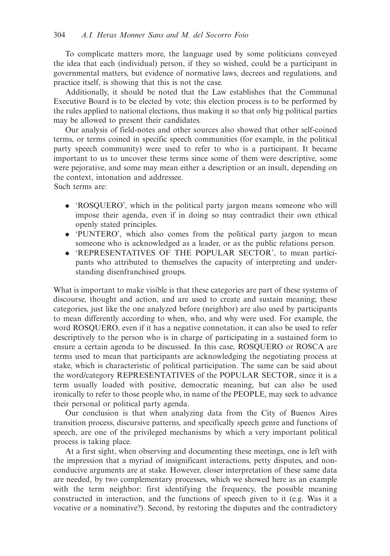To complicate matters more, the language used by some politicians conveyed the idea that each (individual) person, if they so wished, could be a participant in governmental matters, but evidence of normative laws, decrees and regulations, and practice itself, is showing that this is not the case.

Additionally, it should be noted that the Law establishes that the Communal Executive Board is to be elected by vote; this election process is to be performed by the rules applied to national elections, thus making it so that only big political parties may be allowed to present their candidates.

Our analysis of field-notes and other sources also showed that other self-coined terms, or terms coined in specific speech communities (for example, in the political party speech community) were used to refer to who is a participant. It became important to us to uncover these terms since some of them were descriptive, some were pejorative, and some may mean either a description or an insult, depending on the context, intonation and addressee.

Such terms are:

- . 'ROSQUERO', which in the political party jargon means someone who will impose their agenda, even if in doing so may contradict their own ethical openly stated principles.
- . 'PUNTERO', which also comes from the political party jargon to mean someone who is acknowledged as a leader, or as the public relations person.
- . 'REPRESENTATIVES OF THE POPULAR SECTOR', to mean participants who attributed to themselves the capacity of interpreting and understanding disenfranchised groups.

What is important to make visible is that these categories are part of these systems of discourse, thought and action, and are used to create and sustain meaning; these categories, just like the one analyzed before (neighbor) are also used by participants to mean differently according to when, who, and why were used. For example, the word ROSQUERO, even if it has a negative connotation, it can also be used to refer descriptively to the person who is in charge of participating in a sustained form to ensure a certain agenda to be discussed. In this case, ROSQUERO or ROSCA are terms used to mean that participants are acknowledging the negotiating process at stake, which is characteristic of political participation. The same can be said about the word/category REPRESENTATIVES of the POPULAR SECTOR, since it is a term usually loaded with positive, democratic meaning, but can also be used ironically to refer to those people who, in name of the PEOPLE, may seek to advance their personal or political party agenda.

Our conclusion is that when analyzing data from the City of Buenos Aires transition process, discursive patterns, and specifically speech genre and functions of speech, are one of the privileged mechanisms by which a very important political process is taking place.

At a first sight, when observing and documenting these meetings, one is left with the impression that a myriad of insignificant interactions, petty disputes, and nonconducive arguments are at stake. However, closer interpretation of these same data are needed, by two complementary processes, which we showed here as an example with the term neighbor: first identifying the frequency, the possible meaning constructed in interaction, and the functions of speech given to it (e.g. Was it a vocative or a nominative?). Second, by restoring the disputes and the contradictory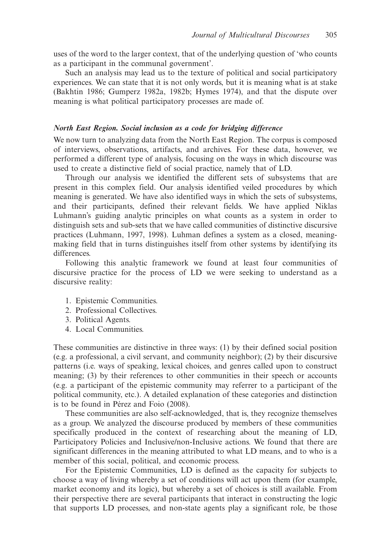uses of the word to the larger context, that of the underlying question of 'who counts as a participant in the communal government'.

Such an analysis may lead us to the texture of political and social participatory experiences. We can state that it is not only words, but it is meaning what is at stake (Bakhtin 1986; Gumperz 1982a, 1982b; Hymes 1974), and that the dispute over meaning is what political participatory processes are made of.

## North East Region. Social inclusion as a code for bridging difference

We now turn to analyzing data from the North East Region. The corpus is composed of interviews, observations, artifacts, and archives. For these data, however, we performed a different type of analysis, focusing on the ways in which discourse was used to create a distinctive field of social practice, namely that of LD.

Through our analysis we identified the different sets of subsystems that are present in this complex field. Our analysis identified veiled procedures by which meaning is generated. We have also identified ways in which the sets of subsystems, and their participants, defined their relevant fields. We have applied Niklas Luhmann's guiding analytic principles on what counts as a system in order to distinguish sets and sub-sets that we have called communities of distinctive discursive practices (Luhmann, 1997, 1998). Luhman defines a system as a closed, meaningmaking field that in turns distinguishes itself from other systems by identifying its differences.

Following this analytic framework we found at least four communities of discursive practice for the process of LD we were seeking to understand as a discursive reality:

- 1. Epistemic Communities.
- 2. Professional Collectives.
- 3. Political Agents.
- 4. Local Communities.

These communities are distinctive in three ways: (1) by their defined social position (e.g. a professional, a civil servant, and community neighbor); (2) by their discursive patterns (i.e. ways of speaking, lexical choices, and genres called upon to construct meaning; (3) by their references to other communities in their speech or accounts (e.g. a participant of the epistemic community may referrer to a participant of the political community, etc.). A detailed explanation of these categories and distinction is to be found in Pérez and Foio (2008).

These communities are also self-acknowledged, that is, they recognize themselves as a group. We analyzed the discourse produced by members of these communities specifically produced in the context of researching about the meaning of LD, Participatory Policies and Inclusive/non-Inclusive actions. We found that there are significant differences in the meaning attributed to what LD means, and to who is a member of this social, political, and economic process.

For the Epistemic Communities, LD is defined as the capacity for subjects to choose a way of living whereby a set of conditions will act upon them (for example, market economy and its logic), but whereby a set of choices is still available. From their perspective there are several participants that interact in constructing the logic that supports LD processes, and non-state agents play a significant role, be those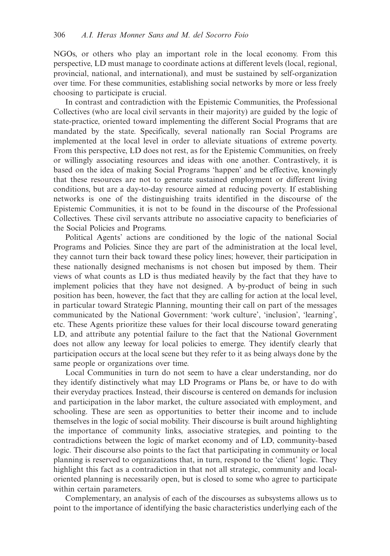NGOs, or others who play an important role in the local economy. From this perspective, LD must manage to coordinate actions at different levels (local, regional, provincial, national, and international), and must be sustained by self-organization over time. For these communities, establishing social networks by more or less freely choosing to participate is crucial.

In contrast and contradiction with the Epistemic Communities, the Professional Collectives (who are local civil servants in their majority) are guided by the logic of state-practice, oriented toward implementing the different Social Programs that are mandated by the state. Specifically, several nationally ran Social Programs are implemented at the local level in order to alleviate situations of extreme poverty. From this perspective, LD does not rest, as for the Epistemic Communities, on freely or willingly associating resources and ideas with one another. Contrastively, it is based on the idea of making Social Programs 'happen' and be effective, knowingly that these resources are not to generate sustained employment or different living conditions, but are a day-to-day resource aimed at reducing poverty. If establishing networks is one of the distinguishing traits identified in the discourse of the Epistemic Communities, it is not to be found in the discourse of the Professional Collectives. These civil servants attribute no associative capacity to beneficiaries of the Social Policies and Programs.

Political Agents' actions are conditioned by the logic of the national Social Programs and Policies. Since they are part of the administration at the local level, they cannot turn their back toward these policy lines; however, their participation in these nationally designed mechanisms is not chosen but imposed by them. Their views of what counts as LD is thus mediated heavily by the fact that they have to implement policies that they have not designed. A by-product of being in such position has been, however, the fact that they are calling for action at the local level, in particular toward Strategic Planning, mounting their call on part of the messages communicated by the National Government: 'work culture', 'inclusion', 'learning', etc. These Agents prioritize these values for their local discourse toward generating LD, and attribute any potential failure to the fact that the National Government does not allow any leeway for local policies to emerge. They identify clearly that participation occurs at the local scene but they refer to it as being always done by the same people or organizations over time.

Local Communities in turn do not seem to have a clear understanding, nor do they identify distinctively what may LD Programs or Plans be, or have to do with their everyday practices. Instead, their discourse is centered on demands for inclusion and participation in the labor market, the culture associated with employment, and schooling. These are seen as opportunities to better their income and to include themselves in the logic of social mobility. Their discourse is built around highlighting the importance of community links, associative strategies, and pointing to the contradictions between the logic of market economy and of LD, community-based logic. Their discourse also points to the fact that participating in community or local planning is reserved to organizations that, in turn, respond to the 'client' logic. They highlight this fact as a contradiction in that not all strategic, community and localoriented planning is necessarily open, but is closed to some who agree to participate within certain parameters.

Complementary, an analysis of each of the discourses as subsystems allows us to point to the importance of identifying the basic characteristics underlying each of the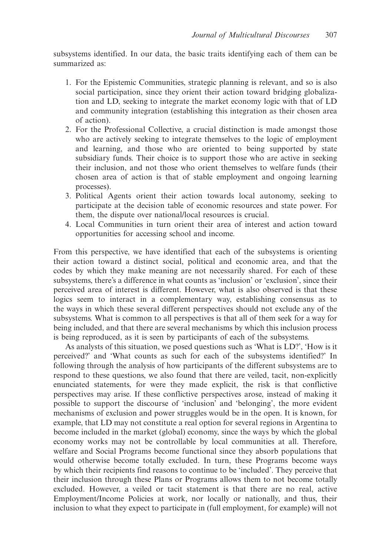subsystems identified. In our data, the basic traits identifying each of them can be summarized as:

- 1. For the Epistemic Communities, strategic planning is relevant, and so is also social participation, since they orient their action toward bridging globalization and LD, seeking to integrate the market economy logic with that of LD and community integration (establishing this integration as their chosen area of action).
- 2. For the Professional Collective, a crucial distinction is made amongst those who are actively seeking to integrate themselves to the logic of employment and learning, and those who are oriented to being supported by state subsidiary funds. Their choice is to support those who are active in seeking their inclusion, and not those who orient themselves to welfare funds (their chosen area of action is that of stable employment and ongoing learning processes).
- 3. Political Agents orient their action towards local autonomy, seeking to participate at the decision table of economic resources and state power. For them, the dispute over national/local resources is crucial.
- 4. Local Communities in turn orient their area of interest and action toward opportunities for accessing school and income.

From this perspective, we have identified that each of the subsystems is orienting their action toward a distinct social, political and economic area, and that the codes by which they make meaning are not necessarily shared. For each of these subsystems, there's a difference in what counts as 'inclusion' or 'exclusion', since their perceived area of interest is different. However, what is also observed is that these logics seem to interact in a complementary way, establishing consensus as to the ways in which these several different perspectives should not exclude any of the subsystems. What is common to all perspectives is that all of them seek for a way for being included, and that there are several mechanisms by which this inclusion process is being reproduced, as it is seen by participants of each of the subsystems.

As analysts of this situation, we posed questions such as 'What is LD?', 'How is it perceived?' and 'What counts as such for each of the subsystems identified?' In following through the analysis of how participants of the different subsystems are to respond to these questions, we also found that there are veiled, tacit, non-explicitly enunciated statements, for were they made explicit, the risk is that conflictive perspectives may arise. If these conflictive perspectives arose, instead of making it possible to support the discourse of 'inclusion' and 'belonging', the more evident mechanisms of exclusion and power struggles would be in the open. It is known, for example, that LD may not constitute a real option for several regions in Argentina to become included in the market (global) economy, since the ways by which the global economy works may not be controllable by local communities at all. Therefore, welfare and Social Programs become functional since they absorb populations that would otherwise become totally excluded. In turn, these Programs become ways by which their recipients find reasons to continue to be 'included'. They perceive that their inclusion through these Plans or Programs allows them to not become totally excluded. However, a veiled or tacit statement is that there are no real, active Employment/Income Policies at work, nor locally or nationally, and thus, their inclusion to what they expect to participate in (full employment, for example) will not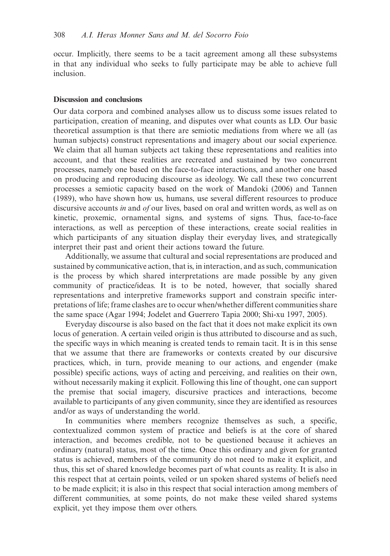occur. Implicitly, there seems to be a tacit agreement among all these subsystems in that any individual who seeks to fully participate may be able to achieve full inclusion.

# Discussion and conclusions

Our data corpora and combined analyses allow us to discuss some issues related to participation, creation of meaning, and disputes over what counts as LD. Our basic theoretical assumption is that there are semiotic mediations from where we all (as human subjects) construct representations and imagery about our social experience. We claim that all human subjects act taking these representations and realities into account, and that these realities are recreated and sustained by two concurrent processes, namely one based on the face-to-face interactions, and another one based on producing and reproducing discourse as ideology. We call these two concurrent processes a semiotic capacity based on the work of Mandoki (2006) and Tannen (1989), who have shown how us, humans, use several different resources to produce discursive accounts in and of our lives, based on oral and written words, as well as on kinetic, proxemic, ornamental signs, and systems of signs. Thus, face-to-face interactions, as well as perception of these interactions, create social realities in which participants of any situation display their everyday lives, and strategically interpret their past and orient their actions toward the future.

Additionally, we assume that cultural and social representations are produced and sustained by communicative action, that is, in interaction, and as such, communication is the process by which shared interpretations are made possible by any given community of practice/ideas. It is to be noted, however, that socially shared representations and interpretive frameworks support and constrain specific interpretations of life; frame clashes are to occur when/whether different communities share the same space (Agar 1994; Jodelet and Guerrero Tapia 2000; Shi-xu 1997, 2005).

Everyday discourse is also based on the fact that it does not make explicit its own locus of generation. A certain veiled origin is thus attributed to discourse and as such, the specific ways in which meaning is created tends to remain tacit. It is in this sense that we assume that there are frameworks or contexts created by our discursive practices, which, in turn, provide meaning to our actions, and engender (make possible) specific actions, ways of acting and perceiving, and realities on their own, without necessarily making it explicit. Following this line of thought, one can support the premise that social imagery, discursive practices and interactions, become available to participants of any given community, since they are identified as resources and/or as ways of understanding the world.

In communities where members recognize themselves as such, a specific, contextualized common system of practice and beliefs is at the core of shared interaction, and becomes credible, not to be questioned because it achieves an ordinary (natural) status, most of the time. Once this ordinary and given for granted status is achieved, members of the community do not need to make it explicit, and thus, this set of shared knowledge becomes part of what counts as reality. It is also in this respect that at certain points, veiled or un spoken shared systems of beliefs need to be made explicit; it is also in this respect that social interaction among members of different communities, at some points, do not make these veiled shared systems explicit, yet they impose them over others.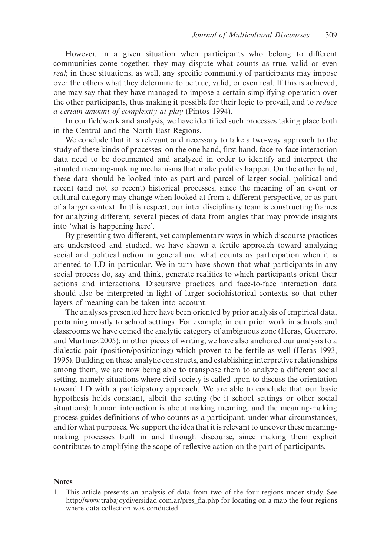However, in a given situation when participants who belong to different communities come together, they may dispute what counts as true, valid or even real; in these situations, as well, any specific community of participants may impose over the others what they determine to be true, valid, or even real. If this is achieved, one may say that they have managed to impose a certain simplifying operation over the other participants, thus making it possible for their logic to prevail, and to reduce a certain amount of complexity at play (Pintos 1994).

In our fieldwork and analysis, we have identified such processes taking place both in the Central and the North East Regions.

We conclude that it is relevant and necessary to take a two-way approach to the study of these kinds of processes: on the one hand, first hand, face-to-face interaction data need to be documented and analyzed in order to identify and interpret the situated meaning-making mechanisms that make politics happen. On the other hand, these data should be looked into as part and parcel of larger social, political and recent (and not so recent) historical processes, since the meaning of an event or cultural category may change when looked at from a different perspective, or as part of a larger context. In this respect, our inter disciplinary team is constructing frames for analyzing different, several pieces of data from angles that may provide insights into 'what is happening here'.

By presenting two different, yet complementary ways in which discourse practices are understood and studied, we have shown a fertile approach toward analyzing social and political action in general and what counts as participation when it is oriented to LD in particular. We in turn have shown that what participants in any social process do, say and think, generate realities to which participants orient their actions and interactions. Discursive practices and face-to-face interaction data should also be interpreted in light of larger sociohistorical contexts, so that other layers of meaning can be taken into account.

The analyses presented here have been oriented by prior analysis of empirical data, pertaining mostly to school settings. For example, in our prior work in schools and classrooms we have coined the analytic category of ambiguous zone (Heras, Guerrero, and Martínez 2005); in other pieces of writing, we have also anchored our analysis to a dialectic pair (position/positioning) which proven to be fertile as well (Heras 1993, 1995). Building on these analytic constructs, and establishing interpretive relationships among them, we are now being able to transpose them to analyze a different social setting, namely situations where civil society is called upon to discuss the orientation toward LD with a participatory approach. We are able to conclude that our basic hypothesis holds constant, albeit the setting (be it school settings or other social situations): human interaction is about making meaning, and the meaning-making process guides definitions of who counts as a participant, under what circumstances, and for what purposes. We support the idea that it is relevant to uncover these meaningmaking processes built in and through discourse, since making them explicit contributes to amplifying the scope of reflexive action on the part of participants.

#### **Notes**

1. This article presents an analysis of data from two of the four regions under study. See [http://www.trabajoydiversidad.com.ar/pres\\_fla.php](http://www.trabajoydiversidad.com.ar/pres_fla.php) for locating on a map the four regions where data collection was conducted.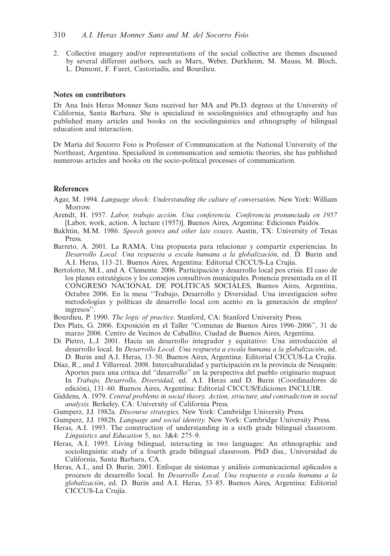2. Collective imagery and/or representations of the social collective are themes discussed by several different authors, such as Marx, Weber, Durkheim, M. Mauss, M. Bloch, L. Dumont, F. Furet, Castoriadis, and Bourdieu.

### Notes on contributors

Dr Ana Inés Heras Monner Sans received her MA and Ph.D. degrees at the University of California, Santa Barbara. She is specialized in sociolinguistics and ethnography and has published many articles and books on the sociolinguistics and ethnography of bilingual education and interaction.

Dr María del Socorro Foio is Professor of Communication at the National University of the Northeast, Argentina. Specialized in communication and semiotic theories, she has published numerous articles and books on the socio-political processes of communication.

### **References**

- Agar, M. 1994. Language shock: Understanding the culture of conversation. New York: William Morrow.
- Arendt, H. 1957. Labor, trabajo acción. Una conferencia. Conferencia pronunciada en 1957 [Labor, work, action. A lecture (1957)]. Buenos Aires, Argentina: Ediciones Paidós.
- Bakhtin, M.M. 1986. Speech genres and other late essays. Austin, TX: University of Texas Press.
- Barreto, A. 2001. La RAMA. Una propuesta para relacionar y compartir experiencias. In Desarrollo Local. Una respuesta a escala humana a la globalización, ed. D. Burin and A.I. Heras, 113-21. Buenos Aires, Argentina: Editorial CICCUS-La Crujía.
- Bertolotto, M.I., and A. Clemente. 2006. Participación y desarrollo local pos crisis. El caso de los planes estratégicos y los consejos consultivos municipales. Ponencia presentada en el II CONGRESO NACIONAL DE POLI´TICAS SOCIALES, Buenos Aires, Argentina, Octubre 2006. En la mesa "Trabajo, Desarrollo y Diversidad. Una investigación sobre metodologías y políticas de desarrollo local con acento en la generación de empleo/ ingresos''.
- Bourdieu, P. 1990. The logic of practice. Stanford, CA: Stanford University Press.
- Des Plats, G. 2006. Exposición en el Taller "Comunas de Buenos Aires 1996-2006", 31 de marzo 2006. Centro de Vecinos de Caballito, Ciudad de Buenos Aires, Argentina.
- Di Pietro, L.J. 2001. Hacia un desarrollo integrador y equitativo: Una introducción al desarrollo local. In Desarrollo Local. Una respuesta a escala humana a la globalización, ed. D. Burin and A.I. Heras, 13–50. Buenos Aires, Argentina: Editorial CICCUS-La Crujía.
- Díaz, R., and J. Villarreal. 2008. Interculturalidad y participación en la provincia de Neuquén: Aportes para una crítica del "desarrollo" en la perspectiva del pueblo originario mapuce. In Trabajo, Desarrollo, Diversidad, ed. A.I. Heras and D. Burin (Coordinadores de edición), 131-60. Buenos Aires, Argentina: Editorial CICCUS/Ediciones INCLUIR.
- Giddens, A. 1979. Central problems in social theory. Action, structure, and contradiction in social analysis. Berkeley, CA: University of California Press.
- Gumperz, J.J. 1982a. Discourse strategies. New York: Cambridge University Press.
- Gumperz, J.J. 1982b. Language and social identity. New York: Cambridge University Press.
- Heras, A.I. 1993. The construction of understanding in a sixth grade bilingual classroom. Linguistics and Education 5, no. 3&4: 275–9.
- Heras, A.I. 1995. Living bilingual, interacting in two languages: An ethnographic and sociolinguistic study of a fourth grade bilingual classroom. PhD diss., Universidad de California, Santa Barbara, CA.
- Heras, A.I., and D. Burin. 2001. Enfoque de sistemas y análisis comunicacional aplicados a procesos de desarrollo local. In Desarrollo Local. Una respuesta a escala humana a la globalización, ed. D. Burin and A.I. Heras, 53-85. Buenos Aires, Argentina: Editorial CICCUS-La Crujía.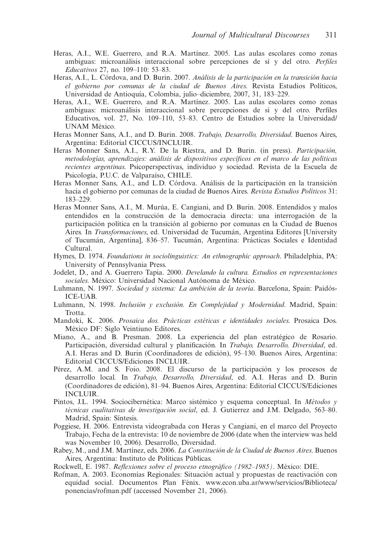- Heras, A.I., W.E. Guerrero, and R.A. Martínez. 2005. Las aulas escolares como zonas ambiguas: microanálisis interaccional sobre percepciones de sí y del otro. Perfiles Educativos 27, no. 109-110: 53-83.
- Heras, A.I., L. Córdova, and D. Burin. 2007. Análisis de la participación en la transición hacia el gobierno por comunas de la ciudad de Buenos Aires. Revista Estudios Políticos, Universidad de Antioquía, Colombia, julio-diciembre, 2007, 31, 183-229.
- Heras, A.I., W.E. Guerrero, and R.A. Martínez. 2005. Las aulas escolares como zonas ambiguas: microanálisis interaccional sobre percepciones de sí y del otro. Perfiles Educativos, vol. 27, No. 109-110, 53-83. Centro de Estudios sobre la Universidad/ UNAM México.
- Heras Monner Sans, A.I., and D. Burin. 2008. Trabajo, Desarrollo, Diversidad. Buenos Aires, Argentina: Editorial CICCUS/INCLUIR.
- Heras Monner Sans, A.I., R.Y. De la Riestra, and D. Burin. (in press). Participación, metodologías, aprendizajes: análisis de dispositivos específicos en el marco de las políticas recientes argentinas. Psicoperspectivas, individuo y sociedad. Revista de la Escuela de Psicología, P.U.C. de Valparaíso, CHILE.
- Heras Monner Sans, A.I., and L.D. Córdova. Análisis de la participación en la transición hacia el gobierno por comunas de la ciudad de Buenos Aires. Revista Estudios Políticos 31: 183-229.
- Heras Monner Sans, A.I., M. Murúa, E. Cangiani, and D. Burin. 2008. Entendidos y malos entendidos en la construcción de la democracia directa: una interrogación de la participación política en la transición al gobierno por comunas en la Ciudad de Buenos Aires. In Transformaciones, ed. Universidad de Tucumán, Argentina Editores [University of Tucumán, Argentina], 836-57. Tucumán, Argentina: Prácticas Sociales e Identidad Cultural.
- Hymes, D. 1974. Foundations in sociolinguistics: An ethnographic approach. Philadelphia, PA: University of Pennsylvania Press.
- Jodelet, D., and A. Guerrero Tapia. 2000. Develando la cultura. Estudios en representaciones sociales. México: Universidad Nacional Autónoma de México.
- Luhmann, N. 1997. Sociedad y sistema: La ambición de la teoría. Barcelona, Spain: Paidós-ICE-UAB.
- Luhmann, N. 1998. *Inclusión y exclusión. En Complejidad y Modernidad*. Madrid, Spain: Trotta.
- Mandoki, K. 2006. Prosaica dos. Prácticas estéticas e identidades sociales. Prosaica Dos. México DF: Siglo Veintiuno Editores.
- Miano, A., and B. Presman. 2008. La experiencia del plan estratégico de Rosario. Participación, diversidad cultural y planificación. In Trabajo, Desarrollo, Diversidad, ed. A.I. Heras and D. Burin (Coordinadores de edición), 95-130. Buenos Aires, Argentina: Editorial CICCUS/Ediciones INCLUIR.
- Pérez, A.M. and S. Foio. 2008. El discurso de la participación y los procesos de desarrollo local. In Trabajo, Desarrollo, Diversidad, ed. A.I. Heras and D. Burin (Coordinadores de edicio´n), 8194. Buenos Aires, Argentina: Editorial CICCUS/Ediciones INCLUIR.
- Pintos, J.L. 1994. Sociocibernética: Marco sistémico y esquema conceptual. In Métodos y técnicas cualitativas de investigación social, ed. J. Gutierrez and J.M. Delgado, 563-80. Madrid, Spain: Síntesis.
- Poggiese, H. 2006. Entrevista videograbada con Heras y Cangiani, en el marco del Proyecto Trabajo, Fecha de la entrevista: 10 de noviembre de 2006 (date when the interview was held was November 10, 2006). Desarrollo, Diversidad.
- Rabey, M., and J.M. Martínez, eds. 2006. La Constitución de la Ciudad de Buenos Aires. Buenos Aires, Argentina: Instituto de Políticas Públicas.
- Rockwell, E. 1987. Reflexiones sobre el proceso etnográfico (1982-1985). México: DIE.
- Rofman, A. 2003. Economías Regionales: Situación actual y propuestas de reactivación con equidad social. Documentos Plan Fénix. [www.econ.uba.ar/www/servicios/Biblioteca/](http://www.econ.uba.ar/www/servicios/Biblioteca/ ponencias/rofman.pdf) [ponencias/rofman.pdf](http://www.econ.uba.ar/www/servicios/Biblioteca/ ponencias/rofman.pdf) (accessed November 21, 2006).